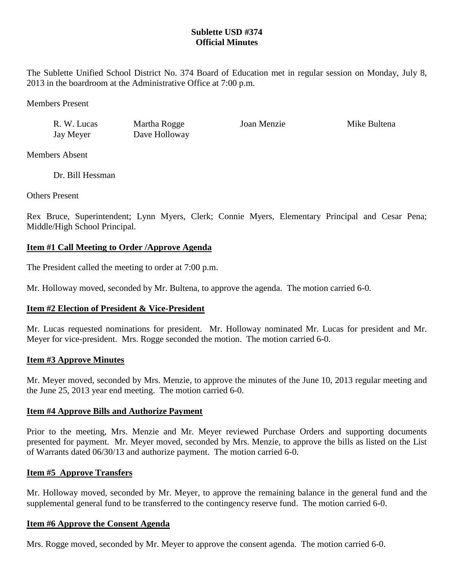# **Sublette USD #374 Official Minutes**

The Sublette Unified School District No. 374 Board of Education met in regular session on Monday, July 8, 2013 in the boardroom at the Administrative Office at 7:00 p.m.

Members Present

| R. W. Lucas | Martha Rogge  | Joan Menzie | Mike Bultena |
|-------------|---------------|-------------|--------------|
| Jay Meyer   | Dave Holloway |             |              |

Members Absent

Dr. Bill Hessman

Others Present

Rex Bruce, Superintendent; Lynn Myers, Clerk; Connie Myers, Elementary Principal and Cesar Pena; Middle/High School Principal.

# **Item #1 Call Meeting to Order /Approve Agenda**

The President called the meeting to order at 7:00 p.m.

Mr. Holloway moved, seconded by Mr. Bultena, to approve the agenda. The motion carried 6-0.

# **Item #2 Election of President & Vice-President**

Mr. Lucas requested nominations for president. Mr. Holloway nominated Mr. Lucas for president and Mr. Meyer for vice-president. Mrs. Rogge seconded the motion. The motion carried 6-0.

## **Item #3 Approve Minutes**

Mr. Meyer moved, seconded by Mrs. Menzie, to approve the minutes of the June 10, 2013 regular meeting and the June 25, 2013 year end meeting. The motion carried 6-0.

## **Item #4 Approve Bills and Authorize Payment**

Prior to the meeting, Mrs. Menzie and Mr. Meyer reviewed Purchase Orders and supporting documents presented for payment. Mr. Meyer moved, seconded by Mrs. Menzie, to approve the bills as listed on the List of Warrants dated 06/30/13 and authorize payment. The motion carried 6-0.

## **Item #5 Approve Transfers**

Mr. Holloway moved, seconded by Mr. Meyer, to approve the remaining balance in the general fund and the supplemental general fund to be transferred to the contingency reserve fund. The motion carried 6-0.

## **Item #6 Approve the Consent Agenda**

Mrs. Rogge moved, seconded by Mr. Meyer to approve the consent agenda. The motion carried 6-0.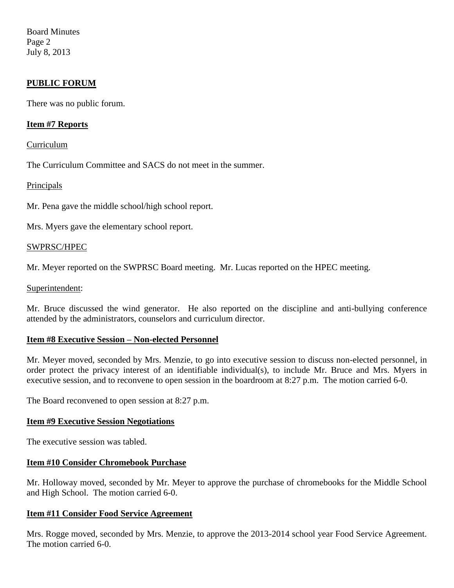Board Minutes Page 2 July 8, 2013

## **PUBLIC FORUM**

There was no public forum.

## **Item #7 Reports**

#### Curriculum

The Curriculum Committee and SACS do not meet in the summer.

#### Principals

Mr. Pena gave the middle school/high school report.

Mrs. Myers gave the elementary school report.

#### SWPRSC/HPEC

Mr. Meyer reported on the SWPRSC Board meeting. Mr. Lucas reported on the HPEC meeting.

#### Superintendent:

Mr. Bruce discussed the wind generator. He also reported on the discipline and anti-bullying conference attended by the administrators, counselors and curriculum director.

## **Item #8 Executive Session – Non-elected Personnel**

Mr. Meyer moved, seconded by Mrs. Menzie, to go into executive session to discuss non-elected personnel, in order protect the privacy interest of an identifiable individual(s), to include Mr. Bruce and Mrs. Myers in executive session, and to reconvene to open session in the boardroom at 8:27 p.m. The motion carried 6-0.

The Board reconvened to open session at 8:27 p.m.

#### **Item #9 Executive Session Negotiations**

The executive session was tabled.

## **Item #10 Consider Chromebook Purchase**

Mr. Holloway moved, seconded by Mr. Meyer to approve the purchase of chromebooks for the Middle School and High School. The motion carried 6-0.

## **Item #11 Consider Food Service Agreement**

Mrs. Rogge moved, seconded by Mrs. Menzie, to approve the 2013-2014 school year Food Service Agreement. The motion carried 6-0.